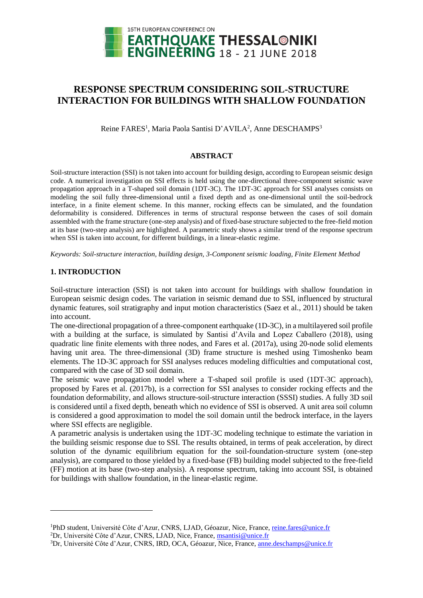

# **RESPONSE SPECTRUM CONSIDERING SOIL-STRUCTURE INTERACTION FOR BUILDINGS WITH SHALLOW FOUNDATION**

Reine FARES<sup>1</sup>, Maria Paola Santisi D'AVILA<sup>2</sup>, Anne DESCHAMPS<sup>3</sup>

## **ABSTRACT**

Soil-structure interaction (SSI) is not taken into account for building design, according to European seismic design code. A numerical investigation on SSI effects is held using the one-directional three-component seismic wave propagation approach in a T-shaped soil domain (1DT-3C). The 1DT-3C approach for SSI analyses consists on modeling the soil fully three-dimensional until a fixed depth and as one-dimensional until the soil-bedrock interface, in a finite element scheme. In this manner, rocking effects can be simulated, and the foundation deformability is considered. Differences in terms of structural response between the cases of soil domain assembled with the frame structure (one-step analysis) and of fixed-base structure subjected to the free-field motion at its base (two-step analysis) are highlighted. A parametric study shows a similar trend of the response spectrum when SSI is taken into account, for different buildings, in a linear-elastic regime.

*Keywords: Soil-structure interaction, building design, 3-Component seismic loading, Finite Element Method*

## **1. INTRODUCTION**

l

Soil-structure interaction (SSI) is not taken into account for buildings with shallow foundation in European seismic design codes. The variation in seismic demand due to SSI, influenced by structural dynamic features, soil stratigraphy and input motion characteristics (Saez et al., 2011) should be taken into account.

The one-directional propagation of a three-component earthquake (1D-3C), in a multilayered soil profile with a building at the surface, is simulated by Santisi d'Avila and Lopez Caballero (2018), using quadratic line finite elements with three nodes, and Fares et al. (2017a), using 20-node solid elements having unit area. The three-dimensional (3D) frame structure is meshed using Timoshenko beam elements. The 1D-3C approach for SSI analyses reduces modeling difficulties and computational cost, compared with the case of 3D soil domain.

The seismic wave propagation model where a T-shaped soil profile is used (1DT-3C approach), proposed by Fares et al. (2017b), is a correction for SSI analyses to consider rocking effects and the foundation deformability, and allows structure-soil-structure interaction (SSSI) studies. A fully 3D soil is considered until a fixed depth, beneath which no evidence of SSI is observed. A unit area soil column is considered a good approximation to model the soil domain until the bedrock interface, in the layers where SSI effects are negligible.

A parametric analysis is undertaken using the 1DT-3C modeling technique to estimate the variation in the building seismic response due to SSI. The results obtained, in terms of peak acceleration, by direct solution of the dynamic equilibrium equation for the soil-foundation-structure system (one-step analysis), are compared to those yielded by a fixed-base (FB) building model subjected to the free-field (FF) motion at its base (two-step analysis). A response spectrum, taking into account SSI, is obtained for buildings with shallow foundation, in the linear-elastic regime.

<sup>1</sup>PhD student, Université Côte d'Azur, CNRS, LJAD, Géoazur, Nice, France, reine.fares@unice.fr <sup>2</sup>Dr, Université Côte d'Azur, CNRS, LJAD, Nice, France, msantisi@unice.fr

<sup>3</sup>Dr, Université Côte d'Azur, CNRS, IRD, OCA, Géoazur, Nice, France, anne.deschamps@unice.fr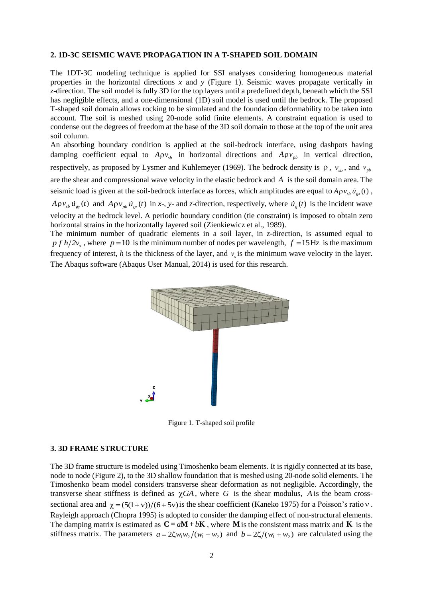## **2. 1D-3C SEISMIC WAVE PROPAGATION IN A T-SHAPED SOIL DOMAIN**

The 1DT-3C modeling technique is applied for SSI analyses considering homogeneous material properties in the horizontal directions *x* and *y* (Figure 1). Seismic waves propagate vertically in *z*-direction. The soil model is fully 3D for the top layers until a predefined depth, beneath which the SSI has negligible effects, and a one-dimensional (1D) soil model is used until the bedrock. The proposed T-shaped soil domain allows rocking to be simulated and the foundation deformability to be taken into account. The soil is meshed using 20-node solid finite elements. A constraint equation is used to condense out the degrees of freedom at the base of the 3D soil domain to those at the top of the unit area soil column.

An absorbing boundary condition is applied at the soil-bedrock interface, using dashpots having damping coefficient equal to  $A \rho v_{sb}$  in horizontal directions and  $A \rho v_{pb}$  in vertical direction, respectively, as proposed by Lysmer and Kuhlemeyer (1969). The bedrock density is  $\rho$ ,  $v_{sb}$ , and  $v_{pb}$ are the shear and compressional wave velocity in the elastic bedrock and *A* is the soil domain area. The seismic load is given at the soil-bedrock interface as forces, which amplitudes are equal to  $A \rho v_{sb} \dot{u}_{gt}(t)$ ,

 $A \rho v_{sb} u_{gy}(t)$  and  $A \rho v_{pb} u_{gz}(t)$  in x-, y- and z-direction, respectively, where  $u_g(t)$  is the incident wave velocity at the bedrock level. A periodic boundary condition (tie constraint) is imposed to obtain zero horizontal strains in the horizontally layered soil (Zienkiewicz et al., 1989).

The minimum number of quadratic elements in a soil layer, in *z*-direction, is assumed equal to  $p f h / 2v_s$ , where  $p = 10$  is the minimum number of nodes per wavelength,  $f = 15$ Hz is the maximum frequency of interest, *h* is the thickness of the layer, and  $v<sub>s</sub>$  is the minimum wave velocity in the layer. The Abaqus software (Abaqus User Manual, 2014) is used for this research.



Figure 1. T-shaped soil profile

#### **3. 3D FRAME STRUCTURE**

The 3D frame structure is modeled using Timoshenko beam elements. It is rigidly connected at its base, node to node (Figure 2), to the 3D shallow foundation that is meshed using 20-node solid elements. The Timoshenko beam model considers transverse shear deformation as not negligible. Accordingly, the transverse shear stiffness is defined as  $\chi GA$ , where G is the shear modulus, A is the beam crosssectional area and  $\chi = (5(1 + v))/(6 + 5v)$  is the shear coefficient (Kaneko 1975) for a Poisson's ratio v. Rayleigh approach (Chopra 1995) is adopted to consider the damping effect of non-structural elements. The damping matrix is estimated as  $C = aM + bK$ , where M is the consistent mass matrix and K is the stiffness matrix. The parameters  $a = 2\zeta w_1 w_2 / (w_1 + w_2)$  and  $b = 2\zeta / (w_1 + w_2)$  are calculated using the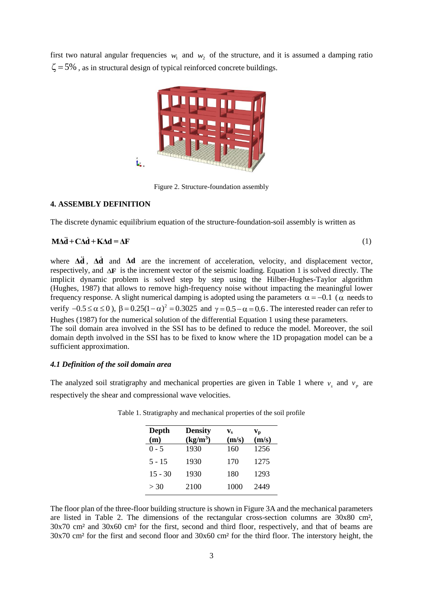first two natural angular frequencies  $w_1$  and  $w_2$  of the structure, and it is assumed a damping ratio  $\zeta$  = 5%, as in structural design of typical reinforced concrete buildings.



Figure 2. Structure-foundation assembly

#### **4. ASSEMBLY DEFINITION**

The discrete dynamic equilibrium equation of the structure-foundation-soil assembly is written as

$$
M\Delta \ddot{d} + C\Delta \dot{d} + K\Delta d = \Delta F \tag{1}
$$

where  $\Delta \vec{d}$ ,  $\Delta \vec{d}$  and  $\Delta d$  are the increment of acceleration, velocity, and displacement vector, respectively, and  $\Delta F$  is the increment vector of the seismic loading. Equation 1 is solved directly. The implicit dynamic problem is solved step by step using the Hilber-Hughes-Taylor algorithm (Hughes, 1987) that allows to remove high-frequency noise without impacting the meaningful lower frequency response. A slight numerical damping is adopted using the parameters  $\alpha = -0.1$  ( $\alpha$  needs to verify  $-0.5 \le \alpha \le 0$ ),  $\beta = 0.25(1-\alpha)^2 = 0.3025$  and  $\gamma = 0.5 - \alpha = 0.6$ . The interested reader can refer to Hughes (1987) for the numerical solution of the differential Equation 1 using these parameters. The soil domain area involved in the SSI has to be defined to reduce the model. Moreover, the soil

domain depth involved in the SSI has to be fixed to know where the 1D propagation model can be a sufficient approximation.

#### *4.1 Definition of the soil domain area*

The analyzed soil stratigraphy and mechanical properties are given in Table 1 where  $v_s$  and  $v_p$  are respectively the shear and compressional wave velocities.

| Depth<br>(m) | <b>Density</b><br>$(kg/m^3)$ | $\mathbf{v}_s$<br>(m/s) | Vр<br>(m/s) |
|--------------|------------------------------|-------------------------|-------------|
| $0 - 5$      | 1930                         | 160                     | 1256        |
| $5 - 15$     | 1930                         | 170                     | 1275        |
| $15 - 30$    | 1930                         | 180                     | 1293        |
| > 30         | 2100                         | 1000                    | 2449        |

Table 1. Stratigraphy and mechanical properties of the soil profile

The floor plan of the three-floor building structure is shown in Figure 3A and the mechanical parameters are listed in Table 2. The dimensions of the rectangular cross-section columns are 30x80 cm², 30x70 cm² and 30x60 cm² for the first, second and third floor, respectively, and that of beams are 30x70 cm² for the first and second floor and 30x60 cm² for the third floor. The interstory height, the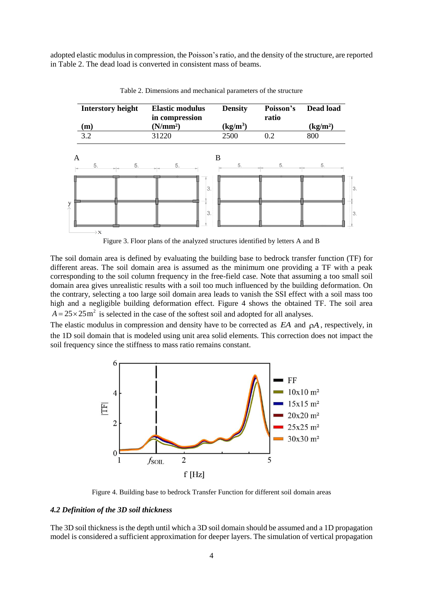adopted elastic modulus in compression, the Poisson's ratio, and the density of the structure, are reported in Table 2. The dead load is converted in consistent mass of beams.



Table 2. Dimensions and mechanical parameters of the structure

Figure 3. Floor plans of the analyzed structures identified by letters A and B

The soil domain area is defined by evaluating the building base to bedrock transfer function (TF) for different areas. The soil domain area is assumed as the minimum one providing a TF with a peak corresponding to the soil column frequency in the free-field case. Note that assuming a too small soil domain area gives unrealistic results with a soil too much influenced by the building deformation. On the contrary, selecting a too large soil domain area leads to vanish the SSI effect with a soil mass too high and a negligible building deformation effect. Figure 4 shows the obtained TF. The soil area  $A = 25 \times 25$  m<sup>2</sup> is selected in the case of the softest soil and adopted for all analyses.

The elastic modulus in compression and density have to be corrected as  $EA$  and  $\rho A$ , respectively, in the 1D soil domain that is modeled using unit area solid elements*.* This correction does not impact the soil frequency since the stiffness to mass ratio remains constant.



Figure 4. Building base to bedrock Transfer Function for different soil domain areas

### *4.2 Definition of the 3D soil thickness*

The 3D soil thickness is the depth until which a 3D soil domain should be assumed and a 1D propagation model is considered a sufficient approximation for deeper layers. The simulation of vertical propagation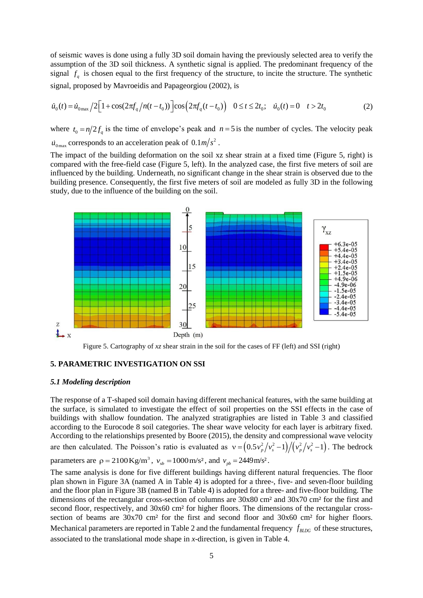of seismic waves is done using a fully 3D soil domain having the previously selected area to verify the assumption of the 3D soil thickness. A synthetic signal is applied. The predominant frequency of the signal  $f_q$  is chosen equal to the first frequency of the structure, to incite the structure. The synthetic signal, proposed by Mavroeidis and Papageorgiou (2002), is

$$
\dot{u}_0(t) = \dot{u}_{0\text{max}}/2\Big[1 + \cos(2\pi f_q/n(t - t_0))\Big]\cos\Big(2\pi f_q(t - t_0)\Big) \quad 0 \le t \le 2t_0; \quad \dot{u}_0(t) = 0 \quad t > 2t_0
$$
\n(2)

where  $t_0 = n/2f_q$  is the time of envelope's peak and  $n = 5$  is the number of cycles. The velocity peak  $\dot{u}_{0\text{max}}$  corresponds to an acceleration peak of  $0.1 \text{m/s}^2$ .

The impact of the building deformation on the soil xz shear strain at a fixed time (Figure 5, right) is compared with the free-field case (Figure 5, left). In the analyzed case, the first five meters of soil are influenced by the building. Underneath, no significant change in the shear strain is observed due to the building presence. Consequently, the first five meters of soil are modeled as fully 3D in the following study, due to the influence of the building on the soil.



Figure 5. Cartography of *xz* shear strain in the soil for the cases of FF (left) and SSI (right)

# **5. PARAMETRIC INVESTIGATION ON SSI**

#### *5.1 Modeling description*

The response of a T-shaped soil domain having different mechanical features, with the same building at the surface, is simulated to investigate the effect of soil properties on the SSI effects in the case of buildings with shallow foundation. The analyzed stratigraphies are listed in Table 3 and classified according to the Eurocode 8 soil categories. The shear wave velocity for each layer is arbitrary fixed. According to the relationships presented by Boore (2015), the density and compressional wave velocity are then calculated. The Poisson's ratio is evaluated as  $v = (0.5v_p^2/v_s^2-1)/(v_p^2/v_s^2-1)$ . The bedrock

parameters are  $\rho = 2100 \text{ Kg/m}^3$ ,  $v_{sb} = 1000 \text{ m/s}^2$ , and  $v_{pb} = 2449 \text{ m/s}^2$ .

The same analysis is done for five different buildings having different natural frequencies. The floor plan shown in Figure 3A (named A in Table 4) is adopted for a three-, five- and seven-floor building and the floor plan in Figure 3B (named B in Table 4) is adopted for a three- and five-floor building. The dimensions of the rectangular cross-section of columns are 30x80 cm² and 30x70 cm² for the first and second floor, respectively, and 30x60 cm<sup>2</sup> for higher floors. The dimensions of the rectangular crosssection of beams are  $30x70$  cm<sup>2</sup> for the first and second floor and  $30x60$  cm<sup>2</sup> for higher floors. Mechanical parameters are reported in Table 2 and the fundamental frequency  $f_{BLDG}$  of these structures, associated to the translational mode shape in *x*-direction, is given in Table 4.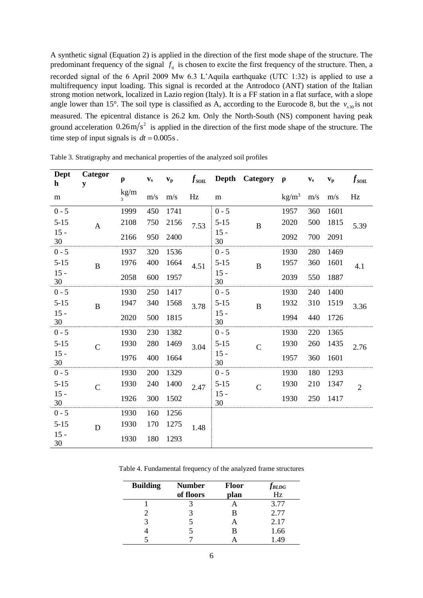A synthetic signal (Equation 2) is applied in the direction of the first mode shape of the structure. The predominant frequency of the signal  $f_q$  is chosen to excite the first frequency of the structure. Then, a recorded signal of the 6 April 2009 Mw 6.3 L'Aquila earthquake (UTC 1:32) is applied to use a multifrequency input loading. This signal is recorded at the Antrodoco (ANT) station of the Italian strong motion network, localized in Lazio region (Italy). It is a FF station in a flat surface, with a slope angle lower than 15°. The soil type is classified as A, according to the Eurocode 8, but the  $v_{s30}$  is not measured. The epicentral distance is 26.2 km. Only the North-South (NS) component having peak ground acceleration  $0.26 \text{ m/s}^2$  is applied in the direction of the first mode shape of the structure. The time step of input signals is  $dt = 0.005s$ .

| Dept<br>$\mathbf h$ | Categor<br>y   | $\rho$    | $\mathbf{v}_\mathrm{s}$ | $\mathbf{v}_{\mathbf{p}}$ | $f_{\rm solL}$ | <b>Depth</b> | Category       | $\rho$          | $\mathbf{v}_\mathrm{s}$ | $\mathbf{v}_{\mathbf{p}}$ | $f_{\rm 50IL}$ |
|---------------------|----------------|-----------|-------------------------|---------------------------|----------------|--------------|----------------|-----------------|-------------------------|---------------------------|----------------|
| m                   |                | kg/m<br>3 | m/s                     | m/s                       | Hz             | m            |                | $\text{kg/m}^3$ | m/s                     | m/s                       | Hz             |
| $0 - 5$             |                | 1999      | 450                     | 1741                      |                | $0 - 5$      |                | 1957            | 360                     | 1601                      |                |
| $5 - 15$            | $\mathbf{A}$   | 2108      | 750                     | 2156                      | 7.53           | $5 - 15$     | $\bf{B}$       | 2020            | 500                     | 1815                      | 5.39           |
| $15 -$<br>30        |                | 2166      | 950                     | 2400                      |                | $15 -$<br>30 |                | 2092            | 700                     | 2091                      |                |
| $0 - 5$             |                | 1937      | 320                     | 1536                      |                | $0 - 5$      |                | 1930            | 280                     | 1469                      |                |
| $5 - 15$            | $\bf{B}$       | 1976      | 400                     | 1664                      | 4.51           | $5 - 15$     | $\bf{B}$       | 1957            | 360                     | 1601                      | 4.1            |
| $15 -$<br>30        |                | 2058      | 600                     | 1957                      |                | $15 -$<br>30 |                | 2039            | 550                     | 1887                      |                |
| $0 - 5$             |                | 1930      | 250                     | 1417                      |                | $0 - 5$      |                | 1930            | 240                     | 1400                      |                |
| $5 - 15$            | $\overline{B}$ | 1947      | 340                     | 1568                      | 3.78           | $5 - 15$     | $\bf{B}$       | 1932            | 310                     | 1519                      | 3.36           |
| $15 -$<br>30        |                | 2020      | 500                     | 1815                      |                | $15 -$<br>30 |                | 1994            | 440                     | 1726                      |                |
| $0 - 5$             |                | 1930      | 230                     | 1382                      |                | $0 - 5$      |                | 1930            | 220                     | 1365                      |                |
| $5 - 15$            | $\mathbf C$    | 1930      | 280                     | 1469                      | 3.04           | $5 - 15$     | $\overline{C}$ | 1930            | 260                     | 1435                      | 2.76           |
| $15 -$<br>30        |                | 1976      | 400                     | 1664                      |                | $15 -$<br>30 |                | 1957            | 360                     | 1601                      |                |
| $0 - 5$             |                | 1930      | 200                     | 1329                      |                | $0 - 5$      |                | 1930            | 180                     | 1293                      |                |
| $5 - 15$            | $\mathcal{C}$  | 1930      | 240                     | 1400                      | 2.47           | $5 - 15$     | $\mathcal{C}$  | 1930            | 210                     | 1347                      | $\overline{2}$ |
| $15 -$<br>30        |                | 1926      | 300                     | 1502                      |                | $15 -$<br>30 |                | 1930            | 250                     | 1417                      |                |
| $0 - 5$             |                | 1930      | 160                     | 1256                      |                |              |                |                 |                         |                           |                |
| $5 - 15$            | D              | 1930      | 170                     | 1275                      | 1.48           |              |                |                 |                         |                           |                |
| $15 -$<br>30        |                | 1930      | 180                     | 1293                      |                |              |                |                 |                         |                           |                |

Table 3. Stratigraphy and mechanical properties of the analyzed soil profiles

Table 4. Fundamental frequency of the analyzed frame structures

| <b>Building</b> | <b>Number</b><br>of floors | <b>Floor</b><br>plan | <b>JBLDG</b><br>Hz |  |  |
|-----------------|----------------------------|----------------------|--------------------|--|--|
|                 |                            |                      | 3.77               |  |  |
|                 |                            | в                    | 2.77               |  |  |
|                 |                            | А                    | 2.17               |  |  |
|                 |                            | В                    | 1.66               |  |  |
|                 |                            |                      | -49                |  |  |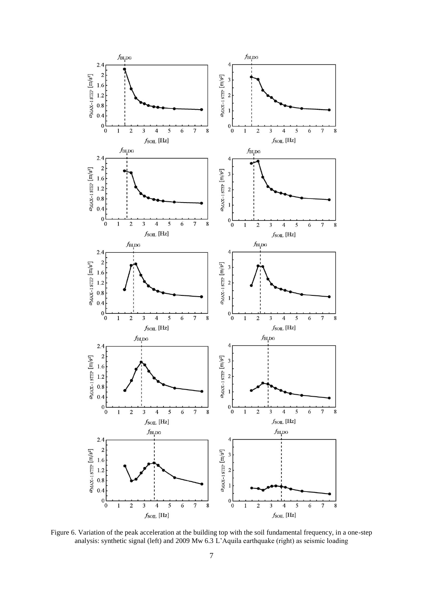

Figure 6. Variation of the peak acceleration at the building top with the soil fundamental frequency, in a one-step analysis: synthetic signal (left) and 2009 Mw 6.3 L'Aquila earthquake (right) as seismic loading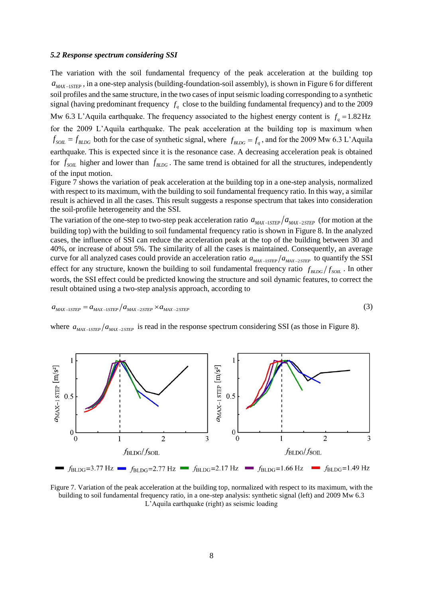#### *5.2 Response spectrum considering SSI*

The variation with the soil fundamental frequency of the peak acceleration at the building top  $a_{MAX-1STEP}$ , in a one-step analysis (building-foundation-soil assembly), is shown in Figure 6 for different soil profiles and the same structure, in the two cases of input seismic loading corresponding to a synthetic signal (having predominant frequency  $f_q$  close to the building fundamental frequency) and to the 2009 Mw 6.3 L'Aquila earthquake. The frequency associated to the highest energy content is  $f_q = 1.82 \text{ Hz}$ for the 2009 L'Aquila earthquake. The peak acceleration at the building top is maximum when  $f_{SOL} = f_{BLDG}$  both for the case of synthetic signal, where  $f_{BLDG} = f_q$ , and for the 2009 Mw 6.3 L'Aquila earthquake. This is expected since it is the resonance case. A decreasing acceleration peak is obtained for  $f_{SOL}$  higher and lower than  $f_{BLDG}$ . The same trend is obtained for all the structures, independently of the input motion.

Figure 7 shows the variation of peak acceleration at the building top in a one-step analysis, normalized with respect to its maximum, with the building to soil fundamental frequency ratio. In this way, a similar result is achieved in all the cases. This result suggests a response spectrum that takes into consideration the soil-profile heterogeneity and the SSI.

The variation of the one-step to two-step peak acceleration ratio  $a_{MAX-1STEP}/a_{MAX-2STEP}$  (for motion at the building top) with the building to soil fundamental frequency ratio is shown in Figure 8. In the analyzed cases, the influence of SSI can reduce the acceleration peak at the top of the building between 30 and 40%, or increase of about 5%. The similarity of all the cases is maintained. Consequently, an average curve for all analyzed cases could provide an acceleration ratio  $a_{MAX-1STEP}/a_{MAX-2STEP}$  to quantify the SSI effect for any structure, known the building to soil fundamental frequency ratio  $f_{BLDG}/f_{SOL}$ . In other words, the SSI effect could be predicted knowing the structure and soil dynamic features, to correct the result obtained using a two-step analysis approach, according to

$$
a_{MAX-1STEP} = a_{MAX-1STEP} / a_{MAX-2STEP} \times a_{MAX-2STEP}
$$
\n
$$
\tag{3}
$$

$$
(3)
$$

where  $a_{MAX-1STEP}/a_{MAX-2STEP}$  is read in the response spectrum considering SSI (as those in Figure 8).



Figure 7. Variation of the peak acceleration at the building top, normalized with respect to its maximum, with the building to soil fundamental frequency ratio, in a one-step analysis: synthetic signal (left) and 2009 Mw 6.3 L'Aquila earthquake (right) as seismic loading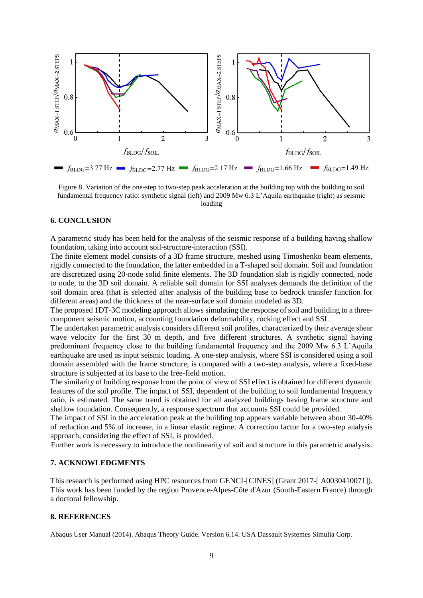

Figure 8. Variation of the one-step to two-step peak acceleration at the building top with the building to soil fundamental frequency ratio: synthetic signal (left) and 2009 Mw 6.3 L'Aquila earthquake (right) as seismic loading

## **6. CONCLUSION**

A parametric study has been held for the analysis of the seismic response of a building having shallow foundation, taking into account soil-structure-interaction (SSI).

The finite element model consists of a 3D frame structure, meshed using Timoshenko beam elements, rigidly connected to the foundation, the latter embedded in a T-shaped soil domain. Soil and foundation are discretized using 20-node solid finite elements. The 3D foundation slab is rigidly connected, node to node, to the 3D soil domain. A reliable soil domain for SSI analyses demands the definition of the soil domain area (that is selected after analysis of the building base to bedrock transfer function for different areas) and the thickness of the near-surface soil domain modeled as 3D.

The proposed 1DT-3C modeling approach allows simulating the response of soil and building to a threecomponent seismic motion, accounting foundation deformability, rocking effect and SSI.

The undertaken parametric analysis considers different soil profiles, characterized by their average shear wave velocity for the first 30 m depth, and five different structures. A synthetic signal having predominant frequency close to the building fundamental frequency and the 2009 Mw 6.3 L'Aquila earthquake are used as input seismic loading. A one-step analysis, where SSI is considered using a soil domain assembled with the frame structure, is compared with a two-step analysis, where a fixed-base structure is subjected at its base to the free-field motion.

The similarity of building response from the point of view of SSI effect is obtained for different dynamic features of the soil profile. The impact of SSI, dependent of the building to soil fundamental frequency ratio, is estimated. The same trend is obtained for all analyzed buildings having frame structure and shallow foundation. Consequently, a response spectrum that accounts SSI could be provided.

The impact of SSI in the acceleration peak at the building top appears variable between about 30-40% of reduction and 5% of increase, in a linear elastic regime. A correction factor for a two-step analysis approach, considering the effect of SSI, is provided.

Further work is necessary to introduce the nonlinearity of soil and structure in this parametric analysis.

# **7. ACKNOWLEDGMENTS**

This research is performed using HPC resources from GENCI-[CINES] (Grant 2017-[ A0030410071]). This work has been funded by the region Provence-Alpes-Côte d'Azur (South-Eastern France) through a doctoral fellowship.

# **8. REFERENCES**

Abaqus User Manual (2014). Abaqus Theory Guide. Version 6.14. USA Dassault Systemes Simulia Corp.